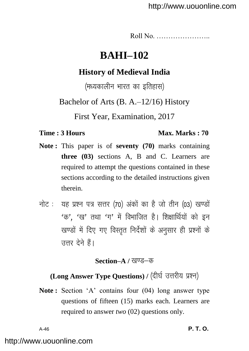Roll No. …………………..

# **BAHI–102**

# **History of Medieval India**

(मध्यकालीन भारत का इतिहास)

Bachelor of Arts (B. A.–12/16) History

First Year, Examination, 2017

### **Time : 3 Hours Max. Marks : 70**

- **Note :** This paper is of **seventy (70)** marks containing **three (03)** sections A, B and C. Learners are required to attempt the questions contained in these sections according to the detailed instructions given therein.
- नोट: यह प्रश्न पत्र सत्तर (70) अंकों का है जो तीन (03) खण्डों  $4\pi$ ,  $4\pi$ , तथा  $4\pi$ , में विभाजित है। शिक्षार्थियों को इन खण्डों में दिए गए विस्तृत निर्देशों के अनुसार ही प्रश्नों के उत्तर देने हैं।

### **Section–A / खण्ड–क**

# (Long Answer Type Questions) / (दीर्घ उत्तरीय प्रश्न)

**Note :** Section 'A' contains four (04) long answer type questions of fifteen (15) marks each. Learners are required to answer *two* (02) questions only.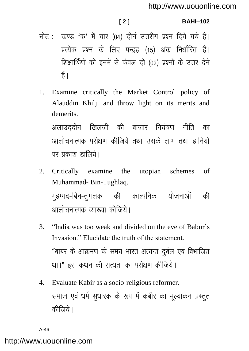### **[ 2 ] BAHI–102**

- नोट: खण्ड 'क' में चार (04) दीर्घ उत्तरीय प्रश्न दिये गये हैं। प्रत्येक प्रश्न के लिए पन्द्रह (15) अंक निर्धारित हैं। शिक्षार्थियों को इनमें से केवल दो (02) प्रश्नों के उत्तर देने  $\frac{3}{5}$
- 1. Examine critically the Market Control policy of Alauddin Khilji and throw light on its merits and demerits.

अलाउददीन खिलजी की बाजार नियंत्रण नीति का आलोचनात्मक परीक्षण कीजिये तथा उसके लाभ तथा हानियों पर प्रकाश ज्ञालिये।

- 2. Critically examine the utopian schemes of Muhammad- Bin-Tughlaq. मुहम्मद-बिन-तुगलक की काल्पनिक योजनाओं की आलोचनात्मक व्याख्या कीजिये।
- 3. ―India was too weak and divided on the eve of Babur's Invasion." Elucidate the truth of the statement. "बाबर के आक्रमण के समय भारत अत्यन्त दुर्बल एवं विभाजित था।" इस कथन की सत्यता का परीक्षण कीजिये।
- 4. Evaluate Kabir as a socio-religious reformer. समाज एवं धर्म सुधारक के रूप में कबीर का मूल्यांकन प्रस्तुत कीजिये।

A-46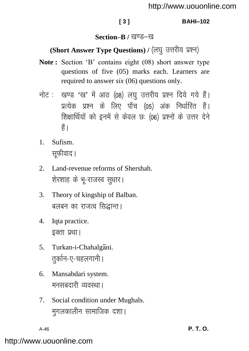### **[ 3 ] BAHI–102**

### **Section–B** / खण्ड–ख

# (Short Answer Type Questions) / (लघु उत्तरीय प्रश्न)

- **Note :** Section 'B' contains eight (08) short answer type questions of five (05) marks each. Learners are required to answer *six* (06) questions only.
- नोट: खण्ड 'ख' में आठ (08) लघु उत्तरीय प्रश्न दिये गये हैं। ं<br>प्रत्येक प्रश्न के लिए पाँच (05) अंक निर्धारित हैं। शिक्षार्थियों को इनमें से केवल छः (06) प्रश्नों के उत्तर देने  $\frac{4}{5}$
- 1. Sufism. सफीवाद।
- 2. Land-revenue reforms of Shershah. शेरशाह के भू-राजस्व सुधार।
- 3. Theory of kingship of Balban. बलबन का राजत्व सिद्धान्त।
- 4. Iqta practice. इक्ता प्रथा।
- 5. Turkan-i-Chahalgani. तर्कान-ए-चहलगानी।
- 6. Mansabdari system. मनसबदारी व्यवस्था।
- 7. Social condition under Mughals. मुगलकालीन सामाजिक दशा।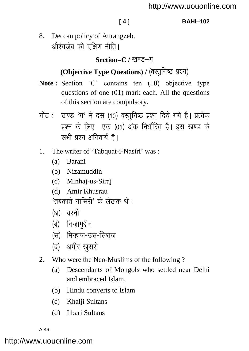### **[ 4 ] BAHI–102**

8. Deccan policy of Aurangzeb. ओरंगजेब की दक्षिण नीति।

Section–C / खण्ड–ग

# **(Objective Type Questions) / (वस्तुनिष्ठ प्रश्न)**

- Note: Section 'C' contains ten (10) objective type questions of one (01) mark each. All the questions of this section are compulsory.
- नोट: खण्ड 'ग' में दस (10) वस्तुनिष्ठ प्रश्न दिये गये हैं। प्रत्येक प्रश्न के लिए एक (01) अंक निर्धारित है। इस खण्ड के सभी पत्रन अनिवार्य हैं।
- 1. The writer of 'Tabquat-i-Nasiri' was :
	- (a) Barani
	- (b) Nizamuddin
	- (c) Minhaj-us-Siraj
	- (d) Amir Khusrau  $\overline{r}$ तबकाते नासिरी $\overline{r}$  के लेखक थे  $\overline{r}$
	- (अ) बरनी
	- (ब) निजाम<del>ु</del>द्दीन
	- (स) मिन्हाज-उस-सिराज
	- (द) अमीर खुसरो
- 2. Who were the Neo-Muslims of the following ?
	- (a) Descendants of Mongols who settled near Delhi and embraced Islam.
	- (b) Hindu converts to Islam
	- (c) Khalji Sultans
	- (d) Ilbari Sultans

A-46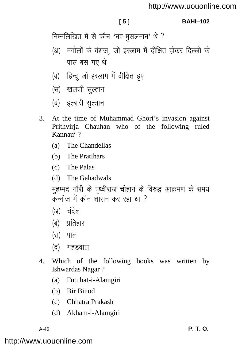### **[ 5 ] BAHI–102**

निम्नलिखित में से कौन 'नव-मुसलमान' थे ?

- (अ) मंगोलों के वंशज, जो इस्लाम में दीक्षित होकर दिल्ली के पास बस गए थे
- (ब) हिन्दू जो इस्लाम में दीक्षित हुए
- (स) खलजी सुल्तान
- (द) इल्बारी सल्तान
- 3. At the time of Muhammad Ghori's invasion against Prithvirja Chauhan who of the following ruled Kannauj ?
	- (a) The Chandellas
	- (b) The Pratihars
	- (c) The Palas
	- (d) The Gahadwals

मुहम्मद गौरी के पृथ्वीराज चौहान के विरुद्ध आक्रमण के समय  $\sigma$ कन्नौज़ में कौन शासन कर रहा था ?

- (अ) चंदेल
- (ब) प्रतिहार
- (स) पाल
- (द) गहडवाल
- 4. Which of the following books was written by Ishwardas Nagar ?
	- (a) Futuhat-i-Alamgiri
	- (b) Bir Binod
	- (c) Chhatra Prakash
	- (d) Akham-i-Alamgiri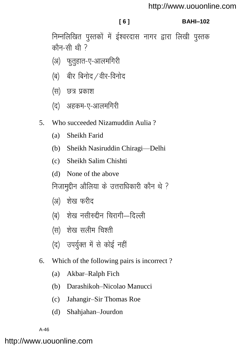### <http://www.uouonline.com>

### **[ 6 ] BAHI–102**

निम्नलिखित पुस्तकों में ईश्वरदास नागर द्वारा लिखी पुस्तक कौन-सी थी $\overline{2}$ 

- (अ) फुतुहात-ए-आलमगिरी
- $\mathcal{A}$ ) बीर बिनोद /वीर-विनोद
- (स) छत्र प्रकाश
- (द) अहकम-ए-आलमगिरी
- 5. Who succeeded Nizamuddin Aulia ?
	- (a) Sheikh Farid
	- (b) Sheikh Nasiruddin Chiragi—Delhi
	- (c) Sheikh Salim Chishti
	- (d) None of the above

निजामुद्दीन औलिया के उत्तराधिकारी कौन थे ?

- (अ) शेख फरीद
- (ब) शेख नसीरुद्दीन चिरागी—दिल्ली
- (स) शेख सलीम चिश्ती
- (द) उपर्युक्त में से कोई नहीं
- 6. Which of the following pairs is incorrect ?
	- (a) Akbar–Ralph Fich
	- (b) Darashikoh–Nicolao Manucci
	- (c) Jahangir–Sir Thomas Roe
	- (d) Shahjahan–Jourdon

A-46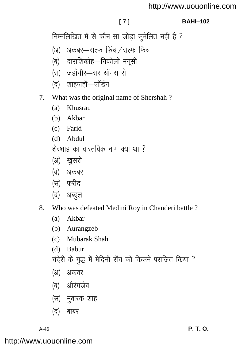## <http://www.uouonline.com>

### **[ 7 ] BAHI–102**

निम्नलिखित में से कौन-सा जोड़ा सुमेलित नहीं है ?

- (अ) अकबर—राल्फ फिंच⁄राल्फ फिच
- (ब) दाराशिकोह—निकोलो मनूसी
- (स) जहाँगीर-सर थॉमस रो
- (द) शाहजहाँ—जॉर्डन
- 7. What was the original name of Shershah ?
	- (a) Khusrau
	- (b) Akbar
	- (c) Farid
	- (d) Abdul

शेरशाह का वास्तविक नाम क्या था  $\overline{?}$ 

- (अ) खुसरो
- (ब) अकबर
- (स) फरीद
- (द) अब्दुल
- 8. Who was defeated Medini Roy in Chanderi battle ?
	- (a) Akbar
	- (b) Aurangzeb
	- (c) Mubarak Shah
	- (d) Babur

चंदेरी के युद्ध में मेदिनी रॉय को किसने पराजित किया ?

- (अ) अकबर
- (ब) औरंगजेब
- (स) मुबारक शाह
- $($ द) बाबर